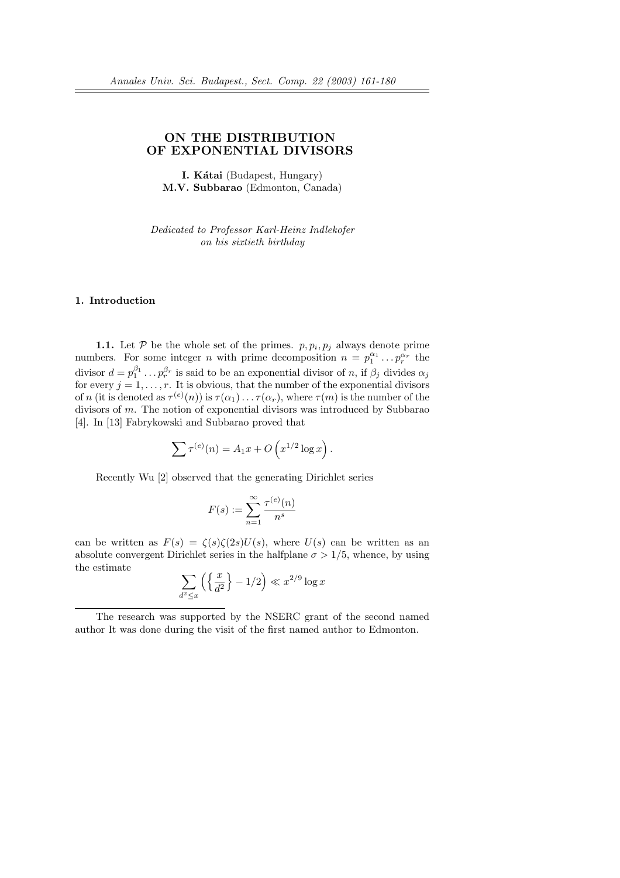# ON THE DISTRIBUTION OF EXPONENTIAL DIVISORS

I. Kátai (Budapest, Hungary) M.V. Subbarao (Edmonton, Canada)

Dedicated to Professor Karl-Heinz Indlekofer on his sixtieth birthday

### 1. Introduction

**1.1.** Let  $P$  be the whole set of the primes.  $p, p_i, p_j$  always denote prime numbers. For some integer *n* with prime decomposition  $n = p_1^{\alpha_1} \dots p_r^{\alpha_r}$  the divisor  $d = p_1^{\beta_1} \dots p_r^{\beta_r}$  is said to be an exponential divisor of n, if  $\beta_j$  divides  $\alpha_j$ for every  $j = 1, \ldots, r$ . It is obvious, that the number of the exponential divisors of n (it is denoted as  $\tau^{(e)}(n)$ ) is  $\tau(\alpha_1)\ldots\tau(\alpha_r)$ , where  $\tau(m)$  is the number of the divisors of m. The notion of exponential divisors was introduced by Subbarao [4]. In [13] Fabrykowski and Subbarao proved that

$$
\sum \tau^{(e)}(n) = A_1 x + O\left(x^{1/2} \log x\right).
$$

Recently Wu [2] observed that the generating Dirichlet series

$$
F(s):=\sum_{n=1}^\infty\frac{\tau^{(e)}(n)}{n^s}
$$

can be written as  $F(s) = \zeta(s)\zeta(2s)U(s)$ , where  $U(s)$  can be written as an absolute convergent Dirichlet series in the halfplane  $\sigma > 1/5$ , whence, by using the estimate  $\overline{\phantom{a}}$  $\int \int x$ o ´

$$
\sum_{d^2 \le x} \left( \left\{ \frac{x}{d^2} \right\} - 1/2 \right) \ll x^{2/9} \log x
$$

The research was supported by the NSERC grant of the second named author It was done during the visit of the first named author to Edmonton.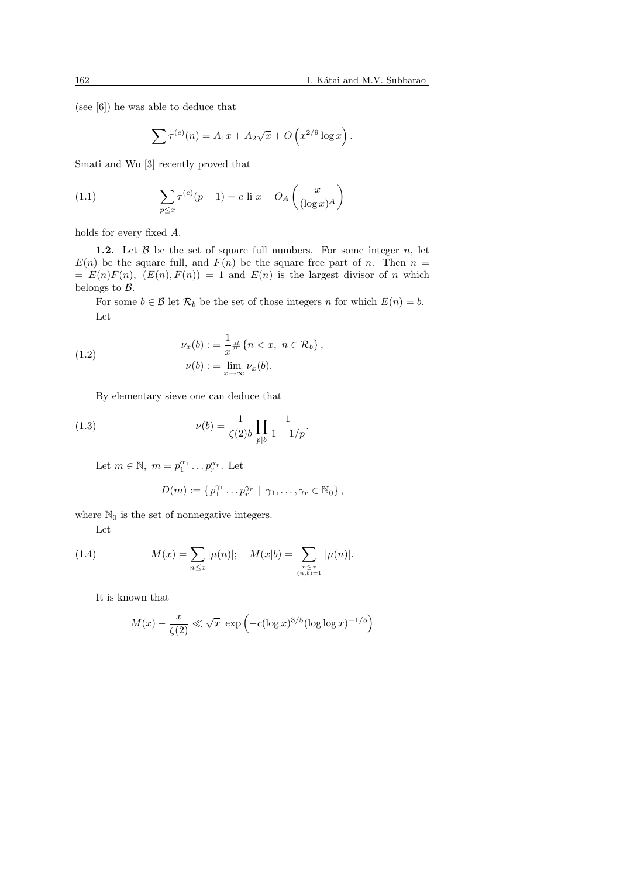(see [6]) he was able to deduce that

$$
\sum \tau^{(e)}(n) = A_1 x + A_2 \sqrt{x} + O\left(x^{2/9} \log x\right).
$$

Smati and Wu [3] recently proved that

(1.1) 
$$
\sum_{p \le x} \tau^{(e)}(p-1) = c \text{ li } x + O_A\left(\frac{x}{(\log x)^A}\right)
$$

holds for every fixed A.

**1.2.** Let  $\beta$  be the set of square full numbers. For some integer  $n$ , let  $E(n)$  be the square full, and  $F(n)$  be the square free part of n. Then  $n =$  $= E(n)F(n), (E(n), F(n)) = 1$  and  $E(n)$  is the largest divisor of n which belongs to B.

For some  $b \in \mathcal{B}$  let  $\mathcal{R}_b$  be the set of those integers n for which  $E(n) = b$ . Let

(1.2) 
$$
\nu_x(b) := \frac{1}{x} \# \{n < x, \ n \in \mathcal{R}_b\},
$$

$$
\nu(b) := \lim_{x \to \infty} \nu_x(b).
$$

By elementary sieve one can deduce that

(1.3) 
$$
\nu(b) = \frac{1}{\zeta(2)b} \prod_{p|b} \frac{1}{1 + 1/p}.
$$

Let  $m \in \mathbb{N}$ ,  $m = p_1^{\alpha_1} \dots p_r^{\alpha_r}$ . Let

$$
D(m) := \{p_1^{\gamma_1} \dots p_r^{\gamma_r} \mid \gamma_1, \dots, \gamma_r \in \mathbb{N}_0\},\
$$

where  $\mathbb{N}_0$  is the set of nonnegative integers.

Let

(1.4) 
$$
M(x) = \sum_{n \le x} |\mu(n)|; \quad M(x|b) = \sum_{\substack{n \le x \\ (n,b)=1}} |\mu(n)|.
$$

It is known that

$$
M(x) - \frac{x}{\zeta(2)} \ll \sqrt{x} \exp\left(-c(\log x)^{3/5}(\log \log x)^{-1/5}\right)
$$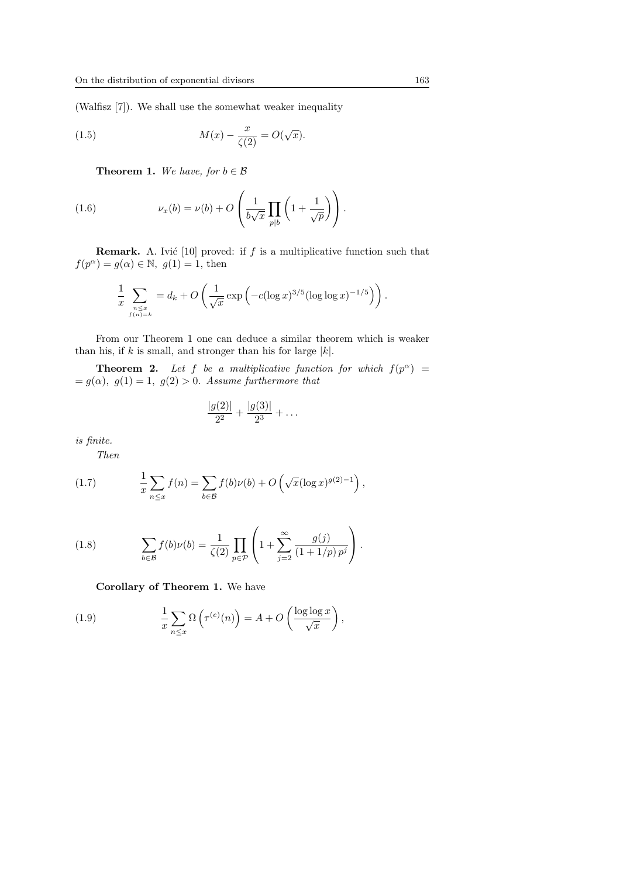(Walfisz [7]). We shall use the somewhat weaker inequality

(1.5) 
$$
M(x) - \frac{x}{\zeta(2)} = O(\sqrt{x}).
$$

**Theorem 1.** We have, for  $b \in \mathcal{B}$ 

(1.6) 
$$
\nu_x(b) = \nu(b) + O\left(\frac{1}{b\sqrt{x}}\prod_{p|b}\left(1 + \frac{1}{\sqrt{p}}\right)\right).
$$

**Remark.** A. Ivić [10] proved: if f is a multiplicative function such that  $f(p^{\alpha}) = g(\alpha) \in \mathbb{N}, g(1) = 1$ , then

$$
\frac{1}{x} \sum_{\substack{n \leq x \\ f(n)=k}} = d_k + O\left(\frac{1}{\sqrt{x}} \exp\left(-c(\log x)^{3/5} (\log \log x)^{-1/5}\right)\right).
$$

From our Theorem 1 one can deduce a similar theorem which is weaker than his, if k is small, and stronger than his for large  $|k|$ .

**Theorem 2.** Let f be a multiplicative function for which  $f(p^{\alpha}) =$  $= g(\alpha)$ ,  $g(1) = 1$ ,  $g(2) > 0$ . Assume furthermore that

$$
\frac{|g(2)|}{2^2} + \frac{|g(3)|}{2^3} + \dots
$$

is finite.

Then

(1.7) 
$$
\frac{1}{x} \sum_{n \leq x} f(n) = \sum_{b \in \mathcal{B}} f(b) \nu(b) + O\left(\sqrt{x} (\log x)^{g(2)-1}\right),
$$

(1.8) 
$$
\sum_{b \in \mathcal{B}} f(b)\nu(b) = \frac{1}{\zeta(2)} \prod_{p \in \mathcal{P}} \left( 1 + \sum_{j=2}^{\infty} \frac{g(j)}{(1 + 1/p) p^j} \right).
$$

Corollary of Theorem 1. We have

(1.9) 
$$
\frac{1}{x} \sum_{n \leq x} \Omega \left( \tau^{(e)}(n) \right) = A + O \left( \frac{\log \log x}{\sqrt{x}} \right),
$$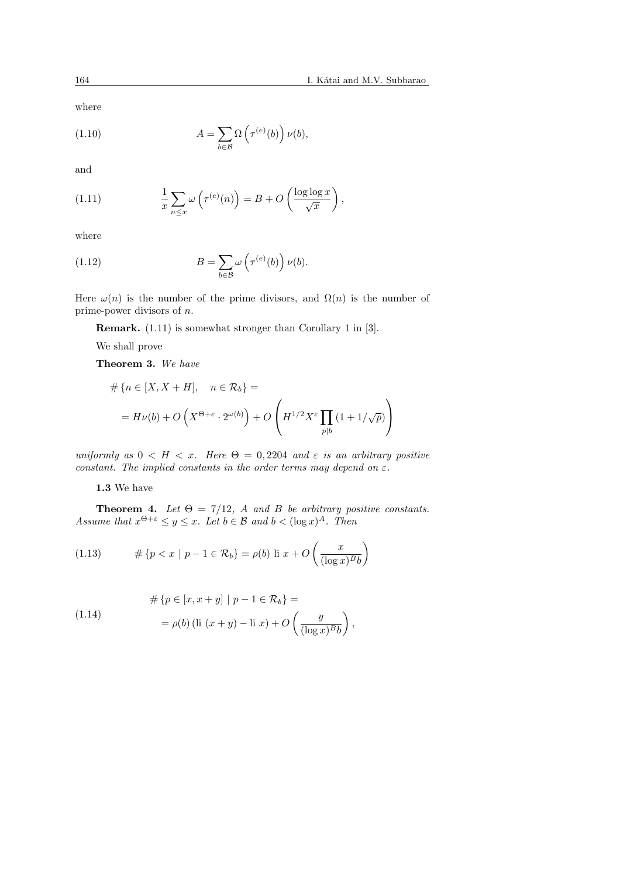(1.10) 
$$
A = \sum_{b \in \mathcal{B}} \Omega \left( \tau^{(e)}(b) \right) \nu(b),
$$

and

(1.11) 
$$
\frac{1}{x} \sum_{n \leq x} \omega \left( \tau^{(e)}(n) \right) = B + O\left( \frac{\log \log x}{\sqrt{x}} \right),
$$

where

(1.12) 
$$
B = \sum_{b \in \mathcal{B}} \omega \left( \tau^{(e)}(b) \right) \nu(b).
$$

Here  $\omega(n)$  is the number of the prime divisors, and  $\Omega(n)$  is the number of prime-power divisors of n.

Remark. (1.11) is somewhat stronger than Corollary 1 in [3].

We shall prove

Theorem 3. We have

$$
\# \{ n \in [X, X + H], \quad n \in \mathcal{R}_b \} =
$$
  
=  $H \nu(b) + O\left(X^{\Theta + \varepsilon} \cdot 2^{\omega(b)}\right) + O\left(H^{1/2} X^{\varepsilon} \prod_{p|b} \left(1 + 1/\sqrt{p}\right)\right)$ 

uniformly as  $0 < H < x$ . Here  $\Theta = 0,2204$  and  $\varepsilon$  is an arbitrary positive constant. The implied constants in the order terms may depend on  $\varepsilon$ .

1.3 We have

**Theorem 4.** Let  $\Theta = 7/12$ , A and B be arbitrary positive constants. Assume that  $x^{\Theta + \varepsilon} \leq y \leq x$ . Let  $b \in \mathcal{B}$  and  $b < (\log x)^A$ . Then

(1.13) 
$$
\# \{ p < x \mid p - 1 \in \mathcal{R}_b \} = \rho(b) \text{ li } x + O\left(\frac{x}{(\log x)^B b}\right)
$$

(1.14) 
$$
\# \{ p \in [x, x + y] \mid p - 1 \in \mathcal{R}_b \} =
$$

$$
= \rho(b) (\text{li } (x + y) - \text{li } x) + O\left(\frac{y}{(\log x)^{B} b}\right),
$$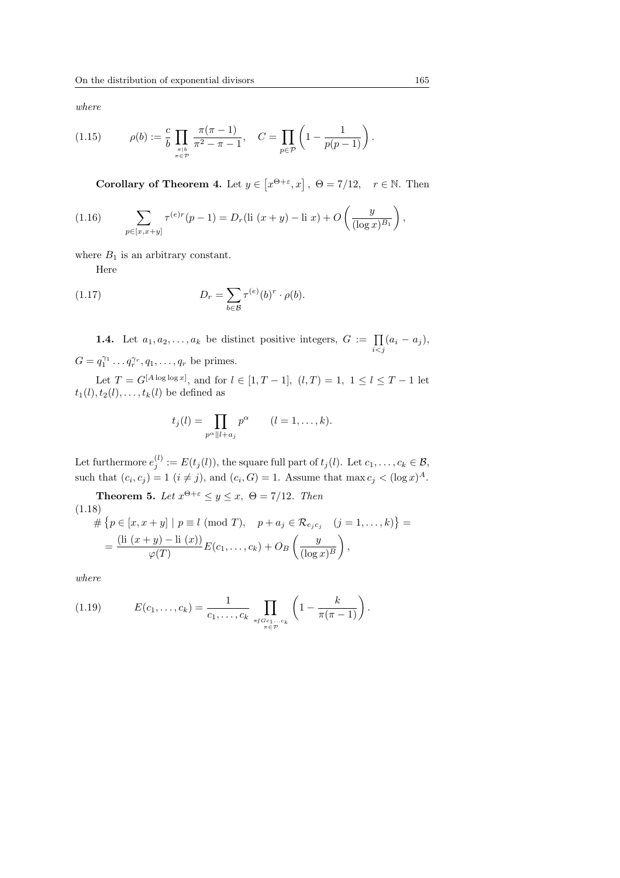(1.15) 
$$
\rho(b) := \frac{c}{b} \prod_{\substack{\pi \mid b \\ \pi \in \mathcal{P}}} \frac{\pi(\pi - 1)}{\pi^2 - \pi - 1}, \quad C = \prod_{p \in \mathcal{P}} \left(1 - \frac{1}{p(p - 1)}\right)
$$

Corollary of Theorem 4. Let  $y \in$ £  $x^{\Theta+\varepsilon}, x$ ,  $\Theta = \frac{7}{12}, \quad r \in \mathbb{N}$ . Then

(1.16) 
$$
\sum_{p \in [x,x+y]} \tau^{(e)r}(p-1) = D_r(\text{li } (x+y) - \text{li } x) + O\left(\frac{y}{(\log x)^{B_1}}\right),
$$

where  $B_1$  is an arbitrary constant.

Here

(1.17) 
$$
D_r = \sum_{b \in \mathcal{B}} \tau^{(e)}(b)^r \cdot \rho(b).
$$

**1.4.** Let  $a_1, a_2, \ldots, a_k$  be distinct positive integers,  $G := \prod_{i < j} (a_i - a_j)$ ,  $G = q_1^{\gamma_1} \dots q_r^{\gamma_r}, q_1, \dots, q_r$  be primes.

Let  $T = G^{[A \log \log x]}$ , and for  $l \in [1, T - 1]$ ,  $(l, T) = 1$ ,  $1 \le l \le T - 1$  let  $t_1(l), t_2(l), \ldots, t_k(l)$  be defined as

$$
t_j(l) = \prod_{p^{\alpha}||l+a_j} p^{\alpha} \qquad (l = 1, \ldots, k).
$$

Let furthermore  $e_j^{(l)} := E(t_j(l))$ , the square full part of  $t_j(l)$ . Let  $c_1, \ldots, c_k \in \mathcal{B}$ , such that  $(c_i, c_j) = 1$   $(i \neq j)$ , and  $(c_i, G) = 1$ . Assume that max  $c_j < (\log x)^A$ .

**Theorem 5.** Let  $x^{\Theta + \varepsilon} \leq y \leq x$ ,  $\Theta = 7/12$ . Then (1.18)  $#$ ©  $p \in [x, x+y] \mid p \equiv l \pmod{T}, \quad p + a_j \in \mathcal{R}_{e_j c_j} \quad (j = 1, ..., k)$ ª =  $=\frac{(\text{li}(x+y)-\text{li}(x))}{(T)}$  $\frac{g f}{\varphi(T)} \frac{\ln(x)}{E(c_1,\ldots,c_k)} + O_B$  $\begin{pmatrix} y \\ y \end{pmatrix}$  $(\log x)^B$  $\frac{1}{\sqrt{2}}$ ,

where

(1.19) 
$$
E(c_1, ..., c_k) = \frac{1}{c_1, ..., c_k} \prod_{\substack{\pi \mid Gc_1...c_k \\ \pi \in \mathcal{P}}} \left(1 - \frac{k}{\pi(\pi - 1)}\right).
$$

.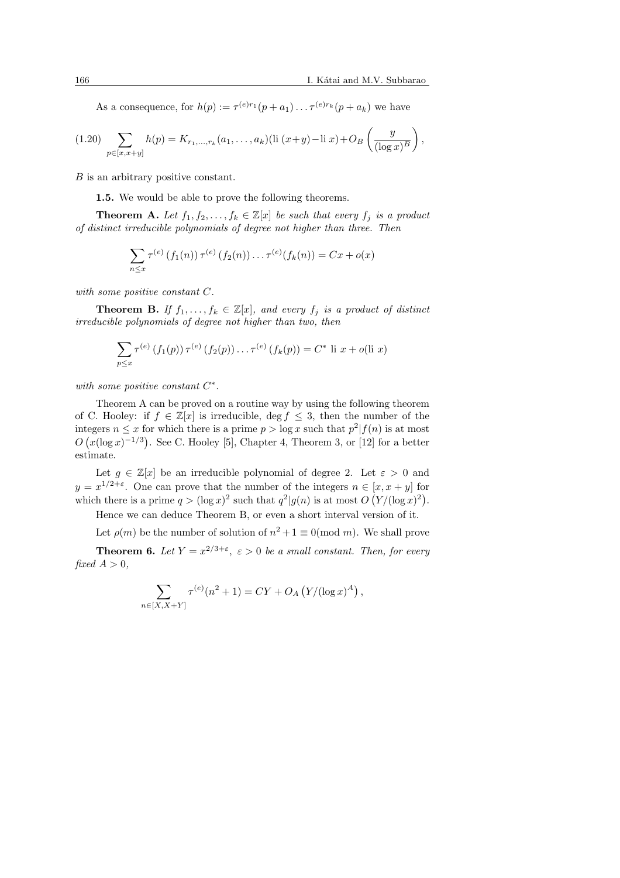As a consequence, for  $h(p) := \tau^{(e)r_1}(p + a_1) \dots \tau^{(e)r_k}(p + a_k)$  we have

$$
(1.20) \sum_{p \in [x,x+y]} h(p) = K_{r_1,\ldots,r_k}(a_1,\ldots,a_k) (\text{li } (x+y) - \text{li } x) + O_B\left(\frac{y}{(\log x)^B}\right),
$$

B is an arbitrary positive constant.

1.5. We would be able to prove the following theorems.

**Theorem A.** Let  $f_1, f_2, \ldots, f_k \in \mathbb{Z}[x]$  be such that every  $f_i$  is a product of distinct irreducible polynomials of degree not higher than three. Then

$$
\sum_{n \leq x} \tau^{(e)} (f_1(n)) \tau^{(e)} (f_2(n)) \dots \tau^{(e)} (f_k(n)) = Cx + o(x)
$$

with some positive constant C.

**Theorem B.** If  $f_1, \ldots, f_k \in \mathbb{Z}[x]$ , and every  $f_j$  is a product of distinct irreducible polynomials of degree not higher than two, then

$$
\sum_{p \leq x} \tau^{(e)} (f_1(p)) \tau^{(e)} (f_2(p)) \dots \tau^{(e)} (f_k(p)) = C^* \text{ li } x + o(\text{li } x)
$$

with some positive constant  $C^*$ .

Theorem A can be proved on a routine way by using the following theorem of C. Hooley: if  $f \in \mathbb{Z}[x]$  is irreducible, deg  $f \leq 3$ , then the number of the integers  $n \leq x$  for which there is a prime  $p > \log x$  such that  $p^2 | f(n)$  is at most  $\overline{O}$ ∪t<br>∕ z(log x)<sup>-1/3</sup>) . See C. Hooley [5], Chapter 4, Theorem 3, or [12] for a better estimate.

Let  $g \in \mathbb{Z}[x]$  be an irreducible polynomial of degree 2. Let  $\varepsilon > 0$  and  $y = x^{1/2+\varepsilon}$ . One can prove that the number of the integers  $n \in [x, x + y]$  for which there is a prime  $q > (\log x)^2$  such that  $q^2|g(n)$  is at most  $O(Y/(\log x)^2)$ .

Hence we can deduce Theorem B, or even a short interval version of it.

Let  $\rho(m)$  be the number of solution of  $n^2 + 1 \equiv 0 \pmod{m}$ . We shall prove

**Theorem 6.** Let  $Y = x^{2/3+\epsilon}$ ,  $\epsilon > 0$  be a small constant. Then, for every fixed  $A > 0$ .

$$
\sum_{n \in [X, X+Y]} \tau^{(e)}(n^2+1) = CY + O_A(Y/(\log x)^A),
$$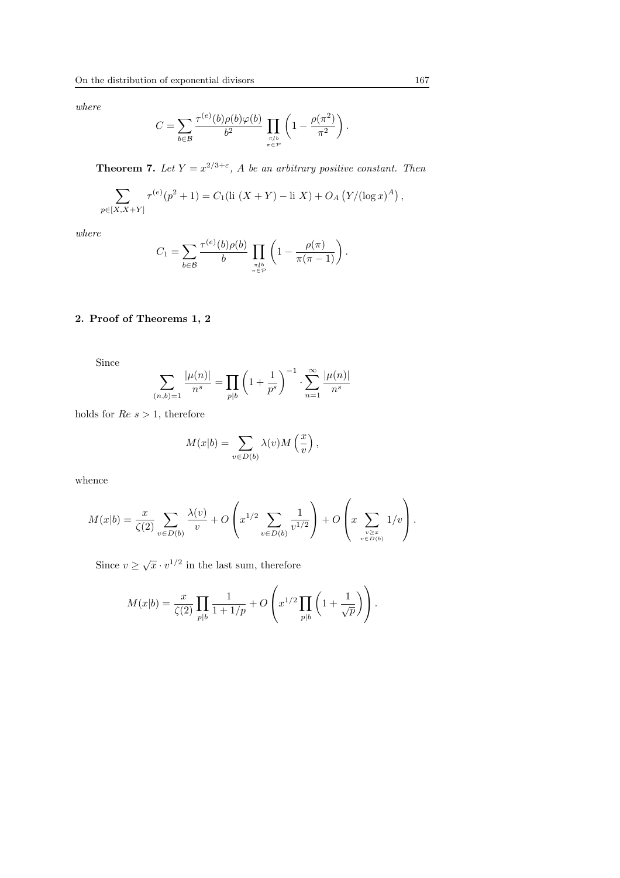$$
C = \sum_{b \in \mathcal{B}} \frac{\tau^{(e)}(b) \rho(b) \varphi(b)}{b^2} \prod_{\substack{\pi \mid b \\ \pi \in \mathcal{P}}} \left(1 - \frac{\rho(\pi^2)}{\pi^2}\right).
$$

**Theorem 7.** Let  $Y = x^{2/3+\epsilon}$ , A be an arbitrary positive constant. Then

$$
\sum_{p \in [X, X+Y]} \tau^{(e)}(p^2+1) = C_1(\text{li }(X+Y) - \text{li } X) + O_A(Y/(\log x)^A),
$$

where

$$
C_1 = \sum_{b \in \mathcal{B}} \frac{\tau^{(e)}(b)\rho(b)}{b} \prod_{\substack{\pi \mid b \\ \pi \in \mathcal{P}}} \left(1 - \frac{\rho(\pi)}{\pi(\pi - 1)}\right).
$$

# 2. Proof of Theorems 1, 2

Since

$$
\sum_{(n,b)=1}\frac{|\mu(n)|}{n^s}=\prod_{p|b}\left(1+\frac{1}{p^s}\right)^{-1}\cdot\sum_{n=1}^\infty\frac{|\mu(n)|}{n^s}
$$

holds for  $Re s > 1$ , therefore

$$
M(x|b) = \sum_{v \in D(b)} \lambda(v) M\left(\frac{x}{v}\right),
$$

whence

$$
M(x|b) = \frac{x}{\zeta(2)} \sum_{v \in D(b)} \frac{\lambda(v)}{v} + O\left(x^{1/2} \sum_{v \in D(b)} \frac{1}{v^{1/2}}\right) + O\left(x \sum_{v \ge x \atop v \in D(b)} 1/v\right).
$$

Since  $v \geq \sqrt{x} \cdot v^{1/2}$  in the last sum, therefore

$$
M(x|b) = \frac{x}{\zeta(2)} \prod_{p|b} \frac{1}{1+1/p} + O\left(x^{1/2} \prod_{p|b} \left(1 + \frac{1}{\sqrt{p}}\right)\right).
$$

 $\overline{a}$ 

 $\ddot{\phantom{a}}$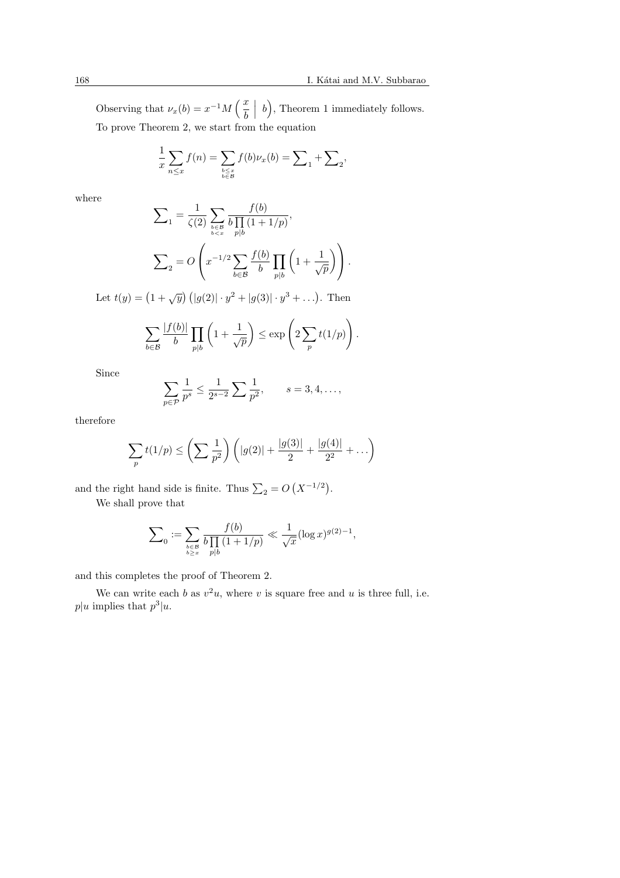Observing that  $\nu_x(b) = x^{-1}M\left(\frac{x}{b}\right)$ b  $\begin{array}{|c|c|} \hline b\end{array}$ ´ , Theorem 1 immediately follows. To prove Theorem 2, we start from the equation

$$
\frac{1}{x}\sum_{n\leq x}f(n)=\sum_{\substack{b\leq x\\b\in\mathcal{B}}}f(b)\nu_x(b)=\sum_{1}+\sum_{2},
$$

where

$$
\sum_{1} = \frac{1}{\zeta(2)} \sum_{\substack{b \in \mathcal{B} \\ b < x}} \frac{f(b)}{b \prod_{p \mid b} (1 + 1/p)},
$$
\n
$$
\sum_{2} = O\left(x^{-1/2} \sum_{b \in \mathcal{B}} \frac{f(b)}{b} \prod_{p \mid b} \left(1 + \frac{1}{\sqrt{p}}\right)\right).
$$

Let  $t(y) = (1 + \sqrt{y}) (|g(2)| \cdot y^2 + |g(3)| \cdot y^3 + \ldots).$  Then

$$
\sum_{b \in \mathcal{B}} \frac{|f(b)|}{b} \prod_{p|b} \left(1 + \frac{1}{\sqrt{p}}\right) \le \exp\left(2 \sum_{p} t(1/p)\right).
$$

Since

$$
\sum_{p \in \mathcal{P}} \frac{1}{p^s} \le \frac{1}{2^{s-2}} \sum \frac{1}{p^2}, \qquad s = 3, 4, \dots,
$$

therefore

$$
\sum_{p} t(1/p) \leq \left(\sum \frac{1}{p^2}\right) \left(|g(2)| + \frac{|g(3)|}{2} + \frac{|g(4)|}{2^2} + \dots\right)
$$

and the right hand side is finite. Thus  $\sum_2 = O$  $(X^{-1/2})$ .

We shall prove that

$$
\sum_0 := \sum_{\substack{b \in \mathcal{B} \\ b \ge x}} \frac{f(b)}{b \prod_{p \mid b} (1 + 1/p)} \ll \frac{1}{\sqrt{x}} (\log x)^{g(2) - 1},
$$

and this completes the proof of Theorem 2.

We can write each b as  $v^2u$ , where v is square free and u is three full, i.e.  $p|u$  implies that  $p^3|u$ .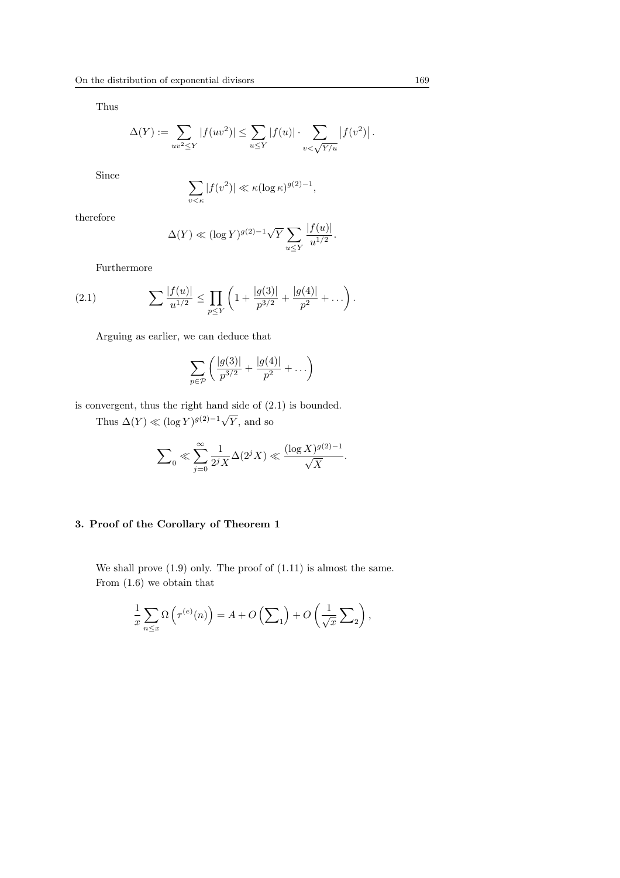Thus

$$
\Delta(Y) := \sum_{uv^2 \le Y} |f(uv^2)| \le \sum_{u \le Y} |f(u)| \cdot \sum_{v \le \sqrt{Y/u}} |f(v^2)|.
$$

Since

$$
\sum_{v \le \kappa} |f(v^2)| \ll \kappa (\log \kappa)^{g(2)-1},
$$

therefore

$$
\Delta(Y) \ll (\log Y)^{g(2)-1} \sqrt{Y} \sum_{u \le Y} \frac{|f(u)|}{u^{1/2}}.
$$

Furthermore

(2.1) 
$$
\sum \frac{|f(u)|}{u^{1/2}} \le \prod_{p \le Y} \left(1 + \frac{|g(3)|}{p^{3/2}} + \frac{|g(4)|}{p^2} + \dots \right).
$$

Arguing as earlier, we can deduce that

$$
\sum_{p \in \mathcal{P}} \left( \frac{|g(3)|}{p^{3/2}} + \frac{|g(4)|}{p^2} + \ldots \right)
$$

is convergent, thus the right hand side of (2.1) is bounded.

Thus  $\Delta(Y) \ll (\log Y)^{g(2)-1} \sqrt{2}$ Y, and so

$$
\sum\nolimits_0 \ll \sum_{j=0}^\infty \frac{1}{2^jX} \Delta(2^jX) \ll \frac{(\log X)^{g(2)-1}}{\sqrt{X}}.
$$

## 3. Proof of the Corollary of Theorem 1

We shall prove  $(1.9)$  only. The proof of  $(1.11)$  is almost the same. From (1.6) we obtain that

$$
\frac{1}{x} \sum_{n \le x} \Omega \left( \tau^{(e)}(n) \right) = A + O\left(\sum_{1} \right) + O\left(\frac{1}{\sqrt{x}} \sum_{2} \right),
$$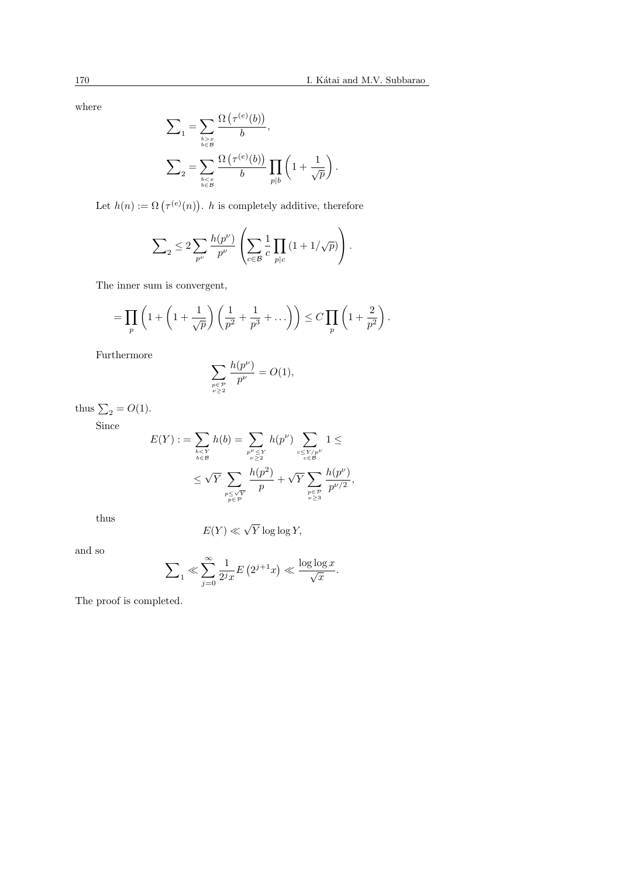$$
\begin{aligned} \sum_{1} &= \sum_{b \geq x \atop b \in \mathcal{B}} \frac{\Omega\left(\tau^{(e)}(b)\right)}{b}, \\ \sum_{2} &= \sum_{b \leq x \atop b \in \mathcal{B}} \frac{\Omega\left(\tau^{(e)}(b)\right)}{b} \prod_{p|b} \left(1 + \frac{1}{\sqrt{p}}\right). \end{aligned}
$$

Let  $h(n) := \Omega\left(\tau^{(e)}(n)\right)$ ¢  $h$  is completely additive, therefore

$$
\sum\nolimits_2 \le 2\sum\nolimits_{p^\nu} \frac{h(p^\nu)}{p^\nu} \left(\sum\limits_{c\in\mathcal{B}} \frac{1}{c} \prod\limits_{p|c} \left(1+1/\sqrt{p}\right)\right).
$$

The inner sum is convergent,

$$
= \prod_{p} \left( 1 + \left( 1 + \frac{1}{\sqrt{p}} \right) \left( \frac{1}{p^2} + \frac{1}{p^3} + \dots \right) \right) \leq C \prod_{p} \left( 1 + \frac{2}{p^2} \right).
$$

Furthermore

$$
\sum_{\substack{p \in \mathcal{P} \\ \nu \ge 2}} \frac{h(p^{\nu})}{p^{\nu}} = O(1),
$$

thus  $\sum_2 = O(1)$ .

Since

$$
E(Y) := \sum_{\substack{b \le Y \\ b \in \mathcal{B}}} h(b) = \sum_{\substack{p^{\nu} \le Y \\ \nu \ge 2}} h(p^{\nu}) \sum_{\substack{c \le Y/p^{\nu} \\ c \in \mathcal{B}}} 1 \le \sum_{\substack{p^{\nu} \le 2 \\ \nu \ge 3}} \frac{1}{p^{\nu/2}},
$$

thus

$$
E(Y) \ll \sqrt{Y} \log \log Y,
$$

and so

$$
\sum\nolimits_1 \ll \sum_{j=0}^\infty \frac{1}{2^j x} E\left( 2^{j+1} x \right) \ll \frac{\log \log x}{\sqrt{x}}.
$$

The proof is completed.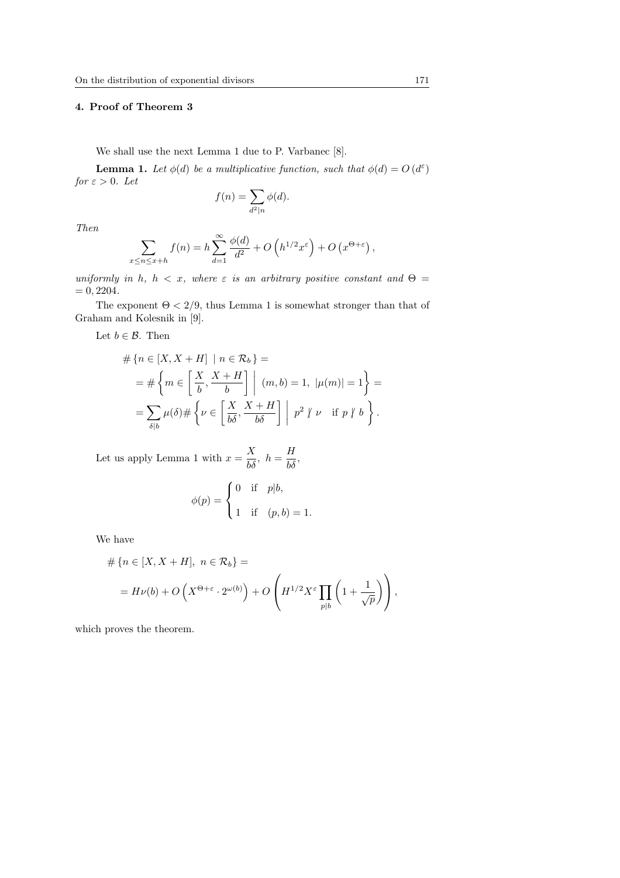## 4. Proof of Theorem 3

We shall use the next Lemma 1 due to P. Varbanec [8].

**Lemma 1.** Let  $\phi(d)$  be a multiplicative function, such that  $\phi(d) = O(d^{\varepsilon})$ for  $\varepsilon > 0$ . Let

$$
f(n) = \sum_{d^2|n} \phi(d).
$$

Then

$$
\sum_{x \le n \le x+h} f(n) = h \sum_{d=1}^{\infty} \frac{\phi(d)}{d^2} + O\left(h^{1/2} x^{\varepsilon}\right) + O\left(x^{\Theta+\varepsilon}\right),
$$

uniformly in h,  $h < x$ , where  $\varepsilon$  is an arbitrary positive constant and  $\Theta =$  $= 0, 2204.$ 

The exponent  $\Theta < 2/9$ , thus Lemma 1 is somewhat stronger than that of Graham and Kolesnik in [9].

Let  $b \in \mathcal{B}$ . Then

$$
\#\left\{n \in [X, X+H] \mid n \in \mathcal{R}_b\right\} =
$$
\n
$$
= \#\left\{m \in \left[\frac{X}{b}, \frac{X+H}{b}\right] \mid (m, b) = 1, \ |\mu(m)| = 1\right\} =
$$
\n
$$
= \sum_{\delta \mid b} \mu(\delta) \#\left\{\nu \in \left[\frac{X}{b\delta}, \frac{X+H}{b\delta}\right] \mid p^2 \nmid \nu \text{ if } p \nmid b\right\}.
$$

Let us apply Lemma 1 with  $x = \frac{X}{b\delta}$ ,  $h = \frac{H}{b\delta}$ ,

$$
\phi(p) = \begin{cases} 0 & \text{if } p|b, \\ 1 & \text{if } (p, b) = 1. \end{cases}
$$

We have

$$
\# \left\{ n \in [X, X + H], \ n \in \mathcal{R}_b \right\} =
$$
  
=  $H \nu(b) + O\left(X^{\Theta + \varepsilon} \cdot 2^{\omega(b)}\right) + O\left(H^{1/2} X^{\varepsilon} \prod_{p \mid b} \left(1 + \frac{1}{\sqrt{p}}\right)\right),$ 

which proves the theorem.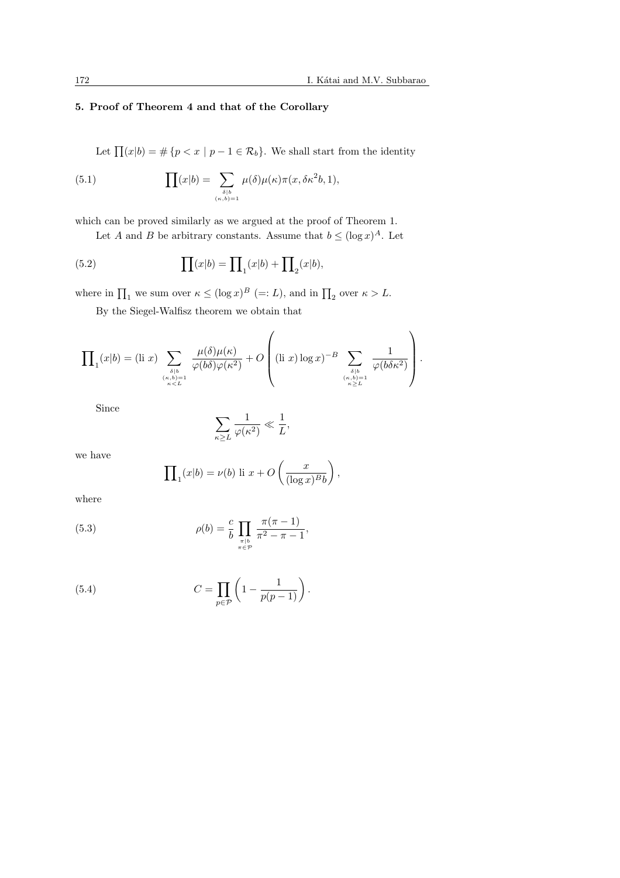## 5. Proof of Theorem 4 and that of the Corollary

Let  $\prod(x|b) = \#\{p < x \mid p-1 \in \mathcal{R}_b\}$ . We shall start from the identity

(5.1) 
$$
\prod(x|b) = \sum_{\delta|b \atop (\kappa, b) = 1} \mu(\delta)\mu(\kappa)\pi(x, \delta\kappa^2b, 1),
$$

which can be proved similarly as we argued at the proof of Theorem 1.

Let A and B be arbitrary constants. Assume that  $b \leq (\log x)^A$ . Let

(5.2) 
$$
\prod(x|b) = \prod_1(x|b) + \prod_2(x|b),
$$

where in  $\prod_1$  we sum over  $\kappa \leq (\log x)^B$  (=: L), and in  $\prod_2$  over  $\kappa > L$ .

By the Siegel-Walfisz theorem we obtain that

$$
\prod_{1}(x|b) = (\text{li } x) \sum_{\substack{\delta \mid b \\ (\kappa, b) = 1 \\ \kappa < L}} \frac{\mu(\delta)\mu(\kappa)}{\varphi(b\delta)\varphi(\kappa^2)} + O\left( (\text{li } x) \log x \right)^{-B} \sum_{\substack{\delta \mid b \\ (\kappa, b) = 1 \\ \kappa \ge L}} \frac{1}{\varphi(b\delta\kappa^2)} \right).
$$

Since

$$
\sum_{\kappa \ge L} \frac{1}{\varphi(\kappa^2)} \ll \frac{1}{L},
$$

we have

$$
\prod_{1}(x|b) = \nu(b) \text{ li } x + O\left(\frac{x}{(\log x)^{B}b}\right),
$$

where

(5.3) 
$$
\rho(b) = \frac{c}{b} \prod_{\substack{\pi \mid b \\ \pi \in \mathcal{P}}} \frac{\pi(\pi - 1)}{\pi^2 - \pi - 1},
$$

(5.4) 
$$
C = \prod_{p \in \mathcal{P}} \left( 1 - \frac{1}{p(p-1)} \right).
$$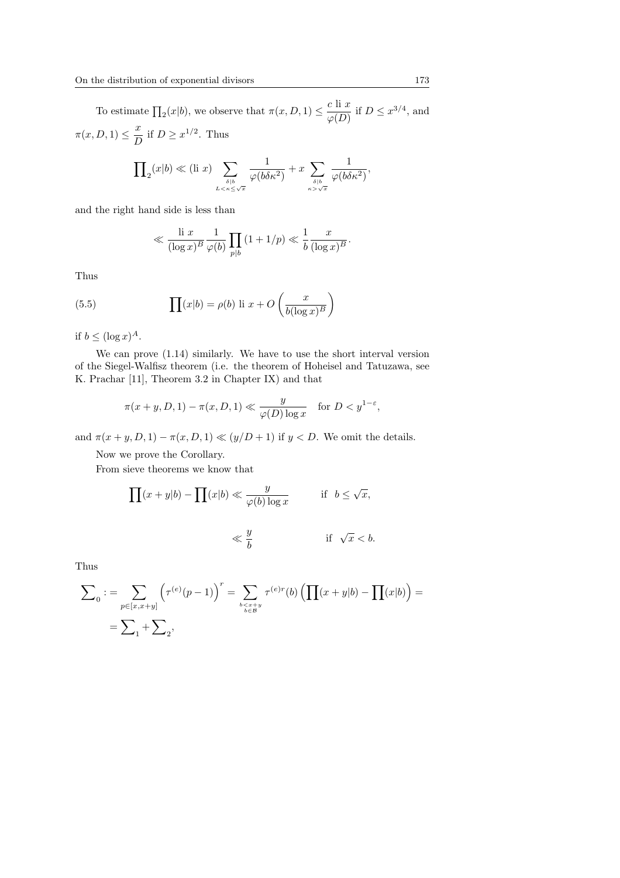To estimate  $\prod_2(x|b)$ , we observe that  $\pi(x, D, 1) \leq \frac{c \text{ li } x}{c(D)}$  $\frac{\partial^2 U}{\partial \varphi(D)}$  if  $D \leq x^{3/4}$ , and  $\pi(x,D,1) \leq \frac{x}{E}$  $\frac{x}{D}$  if  $D \geq x^{1/2}$ . Thus

$$
\prod\nolimits_2 (x|b) \ll (\text{li } x) \sum_{\delta \mid b \atop L < \kappa \leq \sqrt{x}} \frac{1}{\varphi(b\delta \kappa^2)} + x \sum_{\delta \mid b \atop \kappa > \sqrt{x}} \frac{1}{\varphi(b\delta \kappa^2)},
$$

and the right hand side is less than

$$
\ll \frac{\text{li } x}{(\log x)^B} \frac{1}{\varphi(b)} \prod_{p|b} \left(1 + 1/p\right) \ll \frac{1}{b} \frac{x}{(\log x)^B}.
$$

Thus

(5.5) 
$$
\prod(x|b) = \rho(b) \text{ li } x + O\left(\frac{x}{b(\log x)^B}\right)
$$

if  $b \leq (\log x)^A$ .

We can prove (1.14) similarly. We have to use the short interval version of the Siegel-Walfisz theorem (i.e. the theorem of Hoheisel and Tatuzawa, see K. Prachar [11], Theorem 3.2 in Chapter IX) and that

$$
\pi(x+y, D, 1) - \pi(x, D, 1) \ll \frac{y}{\varphi(D) \log x} \quad \text{for } D < y^{1-\varepsilon},
$$

and  $\pi(x+y, D, 1) - \pi(x, D, 1) \ll (y/D + 1)$  if  $y < D$ . We omit the details.

Now we prove the Corollary.

From sieve theorems we know that

$$
\prod(x+y|b) - \prod(x|b) \ll \frac{y}{\varphi(b)\log x} \quad \text{if } b \le \sqrt{x},
$$

$$
\ll \frac{y}{b} \qquad \qquad \text{if} \ \sqrt{x} < b.
$$

Thus

$$
\sum_{0} := \sum_{p \in [x, x+y]} \left( \tau^{(e)}(p-1) \right)^{r} = \sum_{\substack{b < x+y \\ b \in B}} \tau^{(e)r}(b) \left( \prod_{p \in B} (x+y|b) - \prod_{p \in B} (x|b) \right) =
$$
\n
$$
= \sum_{p \in [x, x+y]} \left( \tau^{(e)}(p-1) \right)^{r}
$$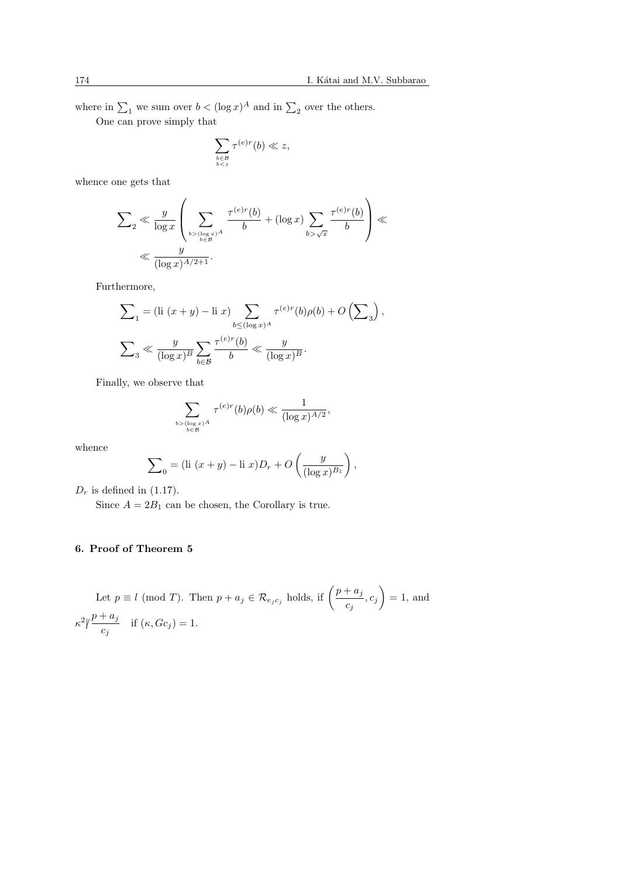where in  $\sum_1$  we sum over  $b < (\log x)^A$  and in  $\sum_2$  over the others.

One can prove simply that

$$
\sum_{\substack{b \in \mathcal{B} \\ b < z}} \tau^{(e)r}(b) \ll z,
$$

whence one gets that

$$
\sum_{2} \ll \frac{y}{\log x} \left( \sum_{\substack{b > (\log x)^A \\ b \in \mathcal{B}}} \frac{\tau^{(e)r}(b)}{b} + (\log x) \sum_{b > \sqrt{x}} \frac{\tau^{(e)r}(b)}{b} \right) \ll
$$
  

$$
\ll \frac{y}{(\log x)^{A/2 + 1}}.
$$

Furthermore,

$$
\begin{aligned} \sum_{1} &= \left(\text{li}\,\left(x+y\right)-\text{li}\,x\right)\sum_{b\leq (\log x)^A}\tau^{(e)r}(b)\rho(b)+O\left(\sum_{3}\right),\\ \sum_{3} &\ll \frac{y}{(\log x)^B}\sum_{b\in\mathcal{B}}\frac{\tau^{(e)r}(b)}{b} \ll \frac{y}{(\log x)^B}. \end{aligned}
$$

Finally, we observe that

$$
\sum_{\substack{b > (\log x)^A \\ b \in \mathcal{B}}} \tau^{(e)r}(b)\rho(b) \ll \frac{1}{(\log x)^{A/2}},
$$

whence

$$
\sum_{0} = (\text{li } (x+y) - \text{li } x)D_r + O\left(\frac{y}{(\log x)^{B_1}}\right),
$$

 $D_r$  is defined in (1.17).

Since  $A = 2B_1$  can be chosen, the Corollary is true.

# 6. Proof of Theorem 5

Let 
$$
p \equiv l \pmod{T}
$$
. Then  $p + a_j \in \mathcal{R}_{e_j c_j}$  holds, if  $\left(\frac{p + a_j}{c_j}, c_j\right) = 1$ , and  $\kappa^2 / \frac{p + a_j}{c_j}$  if  $(\kappa, Gc_j) = 1$ .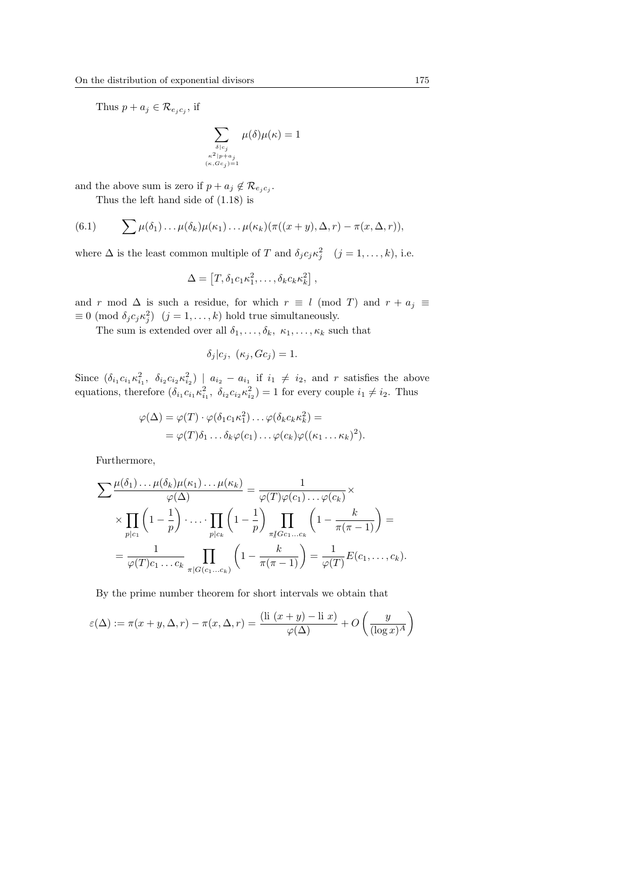Thus  $p + a_j \in \mathcal{R}_{e_j c_j}$ , if

$$
\sum_{\substack{\delta|c_j \\ \kappa^2|p+a_j \\ (\kappa, Gc_j)=1}} \mu(\delta)\mu(\kappa) = 1
$$

and the above sum is zero if  $p + a_j \notin \mathcal{R}_{e_j c_j}$ .

Thus the left hand side of (1.18) is

(6.1) 
$$
\sum \mu(\delta_1) \ldots \mu(\delta_k) \mu(\kappa_1) \ldots \mu(\kappa_k) (\pi((x+y), \Delta, r) - \pi(x, \Delta, r)),
$$

where  $\Delta$  is the least common multiple of T and  $\delta_j c_j \kappa_j^2$   $(j = 1, ..., k)$ , i.e.

$$
\Delta = [T, \delta_1 c_1 \kappa_1^2, \dots, \delta_k c_k \kappa_k^2],
$$

and r mod  $\Delta$  is such a residue, for which  $r \equiv l \pmod{T}$  and  $r + a_j \equiv$  $\equiv 0 \pmod{\delta_j c_j \kappa_j^2}$   $(j = 1, ..., k)$  hold true simultaneously.

The sum is extended over all  $\delta_1, \ldots, \delta_k, \kappa_1, \ldots, \kappa_k$  such that

$$
\delta_j|c_j, ( \kappa_j, Gc_j ) = 1.
$$

Since  $(\delta_{i_1}c_{i_1}\kappa_{i_1}^2, \ \delta_{i_2}c_{i_2}\kappa_{i_2}^2) \mid a_{i_2}-a_{i_1}$  if  $i_1 \neq i_2$ , and r satisfies the above equations, therefore  $(\delta_{i_1} c_{i_1} \kappa_{i_1}^2, \ \delta_{i_2} c_{i_2} \kappa_{i_2}^2) = 1$  for every couple  $i_1 \neq i_2$ . Thus

$$
\varphi(\Delta) = \varphi(T) \cdot \varphi(\delta_1 c_1 \kappa_1^2) \dots \varphi(\delta_k c_k \kappa_k^2) =
$$
  
= 
$$
\varphi(T) \delta_1 \dots \delta_k \varphi(c_1) \dots \varphi(c_k) \varphi((\kappa_1 \dots \kappa_k)^2).
$$

Furthermore,

$$
\sum \frac{\mu(\delta_1) \dots \mu(\delta_k) \mu(\kappa_1) \dots \mu(\kappa_k)}{\varphi(\Delta)} = \frac{1}{\varphi(T)\varphi(c_1) \dots \varphi(c_k)} \times \frac{\prod_{p|c_1} \left(1 - \frac{1}{p}\right) \dots \prod_{p|c_k} \left(1 - \frac{1}{p}\right) \prod_{\substack{\pi \\ \pi \mid Gc_1 \dots c_k}} \left(1 - \frac{k}{\pi(\pi - 1)}\right) = \frac{1}{\varphi(T)c_1 \dots c_k} \prod_{\substack{\pi | G(c_1 \dots c_k)}} \left(1 - \frac{k}{\pi(\pi - 1)}\right) = \frac{1}{\varphi(T)} E(c_1, \dots, c_k).
$$

By the prime number theorem for short intervals we obtain that

$$
\varepsilon(\Delta) := \pi(x + y, \Delta, r) - \pi(x, \Delta, r) = \frac{(\text{li } (x + y) - \text{li } x)}{\varphi(\Delta)} + O\left(\frac{y}{(\log x)^A}\right)
$$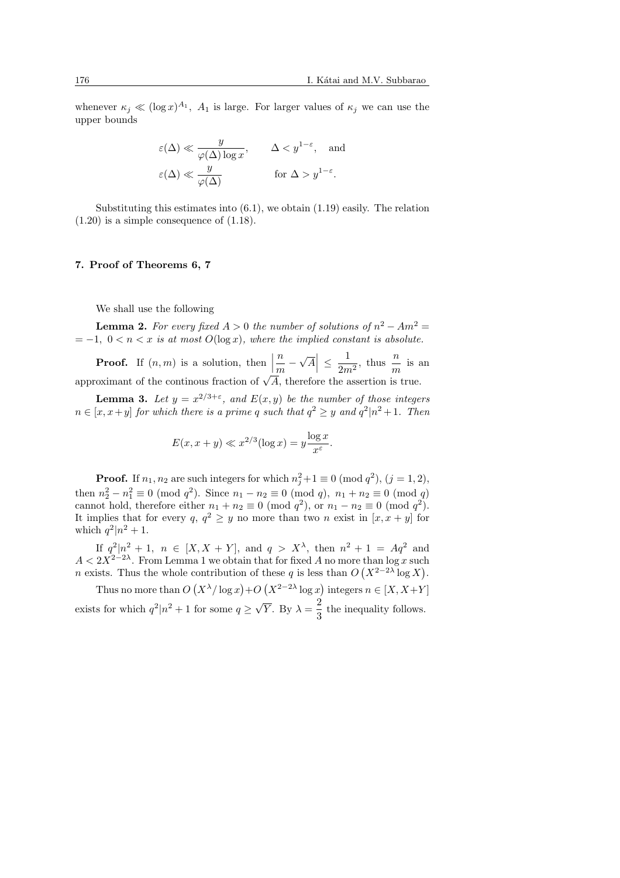whenever  $\kappa_j \ll (\log x)^{A_1}$ ,  $A_1$  is large. For larger values of  $\kappa_j$  we can use the upper bounds

$$
\varepsilon(\Delta) \ll \frac{y}{\varphi(\Delta) \log x},
$$
  $\Delta < y^{1-\varepsilon}$ , and  
 $\varepsilon(\Delta) \ll \frac{y}{\varphi(\Delta)}$  for  $\Delta > y^{1-\varepsilon}$ .

Substituting this estimates into  $(6.1)$ , we obtain  $(1.19)$  easily. The relation  $(1.20)$  is a simple consequence of  $(1.18)$ .

#### 7. Proof of Theorems 6, 7

We shall use the following

**Lemma 2.** For every fixed  $A > 0$  the number of solutions of  $n^2 - Am^2 =$  $=-1, 0 < n < x$  is at most  $O(\log x)$ , where the implied constant is absolute.

**Proof.** If  $(n, m)$  is a solution, then  $\left| \frac{n}{\cdot} \right|$  $\frac{n}{m}$  – √ A  $\leq \frac{1}{2}$  $\frac{1}{2m^2}$ , thus  $\frac{n}{m}$  is an approximant of the continous fraction of  $\sqrt{A}$ , therefore the assertion is true.

**Lemma 3.** Let  $y = x^{2/3+\epsilon}$ , and  $E(x, y)$  be the number of those integers  $n \in [x, x+y]$  for which there is a prime q such that  $q^2 \ge y$  and  $q^2 | n^2 + 1$ . Then

$$
E(x, x+y) \ll x^{2/3} (\log x) = y \frac{\log x}{x^{\varepsilon}}.
$$

**Proof.** If  $n_1, n_2$  are such integers for which  $n_j^2 + 1 \equiv 0 \pmod{q^2}$ ,  $(j = 1, 2)$ , then  $n_2^2 - n_1^2 \equiv 0 \pmod{q^2}$ . Since  $n_1 - n_2 \equiv 0 \pmod{q}$ ,  $n_1 + n_2 \equiv 0 \pmod{q}$ cannot hold, therefore either  $n_1 + n_2 \equiv 0 \pmod{q^2}$ , or  $n_1 - n_2 \equiv 0 \pmod{q^2}$ . It implies that for every  $q, q^2 \geq y$  no more than two n exist in  $[x, x + y]$  for which  $q^2|n^2+1$ .

If  $q^2|n^2 + 1$ ,  $n \in [X, X + Y]$ , and  $q > X^{\lambda}$ , then  $n^2 + 1 = Aq^2$  and  $A < 2X^{2-2\lambda}$ . From Lemma 1 we obtain that for fixed A no more than  $\log x$  such *n* exists. Thus the whole contribution of these q is less than  $O(X^{2-2\lambda} \log X)$ .

Thus no more than O  $(X^{\lambda}/\log x)$  $+O$  $(X^{2-2\lambda} \log x)$  $\frac{1}{\sqrt{2}}$ integers  $n \in [X, X+Y]$ exists for which  $q^2|n^2+1$  for some  $q \ge \sqrt{ }$  $\overline{Y}$ . By  $\lambda = \frac{2}{3}$  $\frac{2}{3}$  the inequality follows.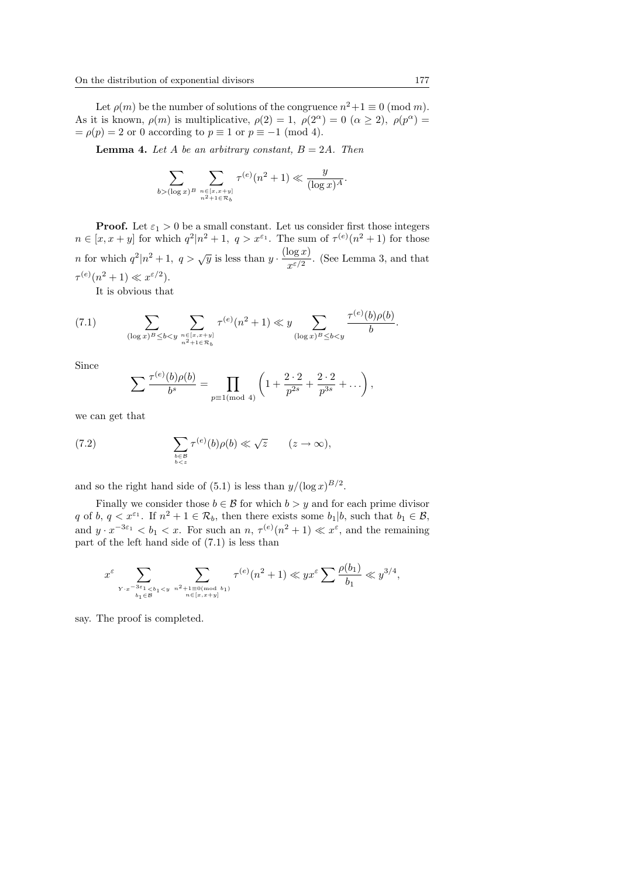Let  $\rho(m)$  be the number of solutions of the congruence  $n^2 + 1 \equiv 0 \pmod{m}$ . As it is known,  $\rho(m)$  is multiplicative,  $\rho(2) = 1$ ,  $\rho(2^{\alpha}) = 0$   $(\alpha \geq 2)$ ,  $\rho(p^{\alpha}) =$  $= \rho(p) = 2$  or 0 according to  $p \equiv 1$  or  $p \equiv -1 \pmod{4}$ .

**Lemma 4.** Let A be an arbitrary constant,  $B = 2A$ . Then

$$
\sum_{b > (\log x)^B} \sum_{n \in [x, x+y] \atop n^2 + 1 \in \mathcal{R}_b} \tau^{(e)}(n^2 + 1) \ll \frac{y}{(\log x)^A}.
$$

**Proof.** Let  $\varepsilon_1 > 0$  be a small constant. Let us consider first those integers  $n \in [x, x+y]$  for which  $q^2 | n^2 + 1$ ,  $q > x^{\varepsilon_1}$ . The sum of  $\tau^{(e)}(n^2 + 1)$  for those *n* for which  $q^2|n^2+1$ ,  $q > \sqrt{y}$  is less than  $y \cdot \frac{(\log x)}{\log x}$  $\frac{\log w}{x^{\varepsilon/2}}$ . (See Lemma 3, and that  $\tau^{(e)}(n^2+1) \ll x^{\varepsilon/2}$ .

It is obvious that

(7.1) 
$$
\sum_{(\log x)^B \le b < y} \sum_{\substack{n \in [x, x+y] \\ n^2 + 1 \in \mathcal{R}_b}} \tau^{(e)}(n^2 + 1) \ll y \sum_{(\log x)^B \le b < y} \frac{\tau^{(e)}(b)\rho(b)}{b}.
$$

Since

$$
\sum \frac{\tau^{(e)}(b)\rho(b)}{b^s} = \prod_{p \equiv 1 \pmod{4}} \left(1 + \frac{2 \cdot 2}{p^{2s}} + \frac{2 \cdot 2}{p^{3s}} + \dots \right),
$$

we can get that

(7.2) 
$$
\sum_{\substack{b \in \mathcal{B} \\ b < z}} \tau^{(e)}(b) \rho(b) \ll \sqrt{z} \qquad (z \to \infty),
$$

and so the right hand side of (5.1) is less than  $y/(\log x)^{B/2}$ .

Finally we consider those  $b \in \mathcal{B}$  for which  $b > y$  and for each prime divisor q of b,  $q < x^{\varepsilon_1}$ . If  $n^2 + 1 \in \mathcal{R}_b$ , then there exists some  $b_1 | b$ , such that  $b_1 \in \mathcal{B}$ , and  $y \cdot x^{-3\varepsilon_1} < b_1 < x$ . For such an  $n, \tau^{(e)}(n^2 + 1) \ll x^{\varepsilon}$ , and the remaining part of the left hand side of (7.1) is less than

$$
x^{\varepsilon}\sum_{\substack{Y\cdot x^{-3\varepsilon_1}
$$

say. The proof is completed.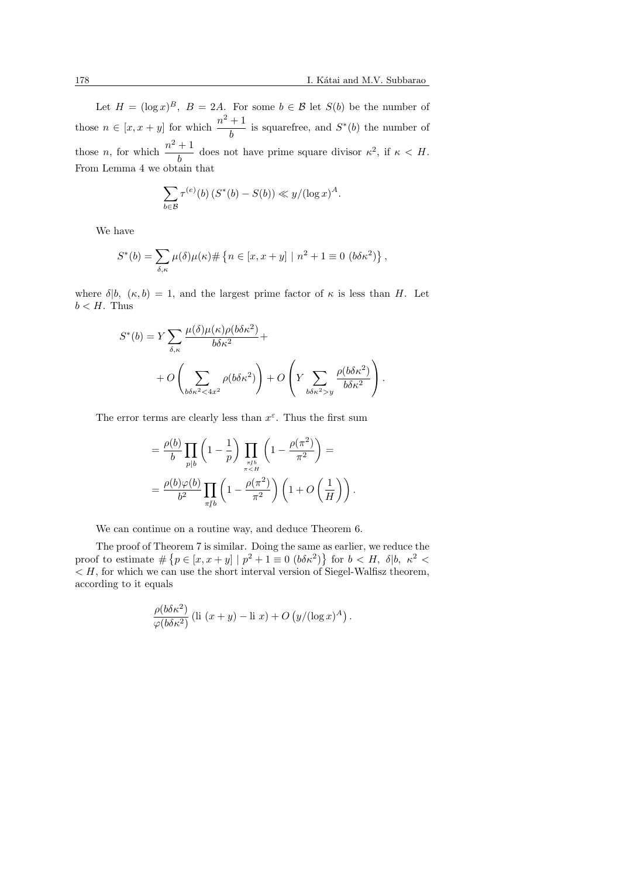Let  $H = (\log x)^B$ ,  $B = 2A$ . For some  $b \in \mathcal{B}$  let  $S(b)$  be the number of those  $n \in [x, x + y]$  for which  $\frac{n^2 + 1}{1}$  $\frac{1}{b}$  is squarefree, and  $S^*(b)$  the number of those *n*, for which  $\frac{n^2+1}{1}$  $\frac{1}{b}$  does not have prime square divisor  $\kappa^2$ , if  $\kappa < H$ . From Lemma 4 we obtain that

$$
\sum_{b \in \mathcal{B}} \tau^{(e)}(b) \left( S^*(b) - S(b) \right) \ll y/(\log x)^A.
$$

We have

$$
S^*(b) = \sum_{\delta,\kappa} \mu(\delta) \mu(\kappa) \# \{ n \in [x, x+y] \mid n^2 + 1 \equiv 0 \ (b \delta \kappa^2) \},
$$

where  $\delta|b, (k, b) = 1$ , and the largest prime factor of  $\kappa$  is less than H. Let  $b < H$ . Thus

$$
S^*(b) = Y \sum_{\delta,\kappa} \frac{\mu(\delta)\mu(\kappa)\rho(b\delta\kappa^2)}{b\delta\kappa^2} +
$$
  
+  $O\left(\sum_{b\delta\kappa^2 < 4x^2} \rho(b\delta\kappa^2)\right) + O\left(Y \sum_{b\delta\kappa^2 > y} \frac{\rho(b\delta\kappa^2)}{b\delta\kappa^2}\right).$ 

The error terms are clearly less than  $x^{\varepsilon}$ . Thus the first sum

$$
= \frac{\rho(b)}{b} \prod_{p|b} \left(1 - \frac{1}{p}\right) \prod_{\substack{\pi, \ell \\ \pi < H}} \left(1 - \frac{\rho(\pi^2)}{\pi^2}\right) =
$$
  
= 
$$
\frac{\rho(b)\varphi(b)}{b^2} \prod_{\substack{\pi, \ell \\ \pi \nmid b}} \left(1 - \frac{\rho(\pi^2)}{\pi^2}\right) \left(1 + O\left(\frac{1}{H}\right)\right).
$$

We can continue on a routine way, and deduce Theorem 6.

The proof of Theorem 7 is similar. Doing the same as earlier, we reduce the The proof of Theorem 7 is similar. Doing the same as earlier, we reduce the proof to estimate  $\#\{p \in [x, x + y] \mid p^2 + 1 \equiv 0 \ (b \delta \kappa^2)\}\)$  for  $b < H$ ,  $\delta |b$ ,  $\kappa^2 <$  $\langle H, \text{ for which we can use the short interval version of Siegel-Walfisz theorem,}$ according to it equals

$$
\frac{\rho(b\delta\kappa^2)}{\varphi(b\delta\kappa^2)}\left(\text{li}\,\left(x+y\right)-\text{li}\;x\right)+O\left(y/(\log x)^A\right).
$$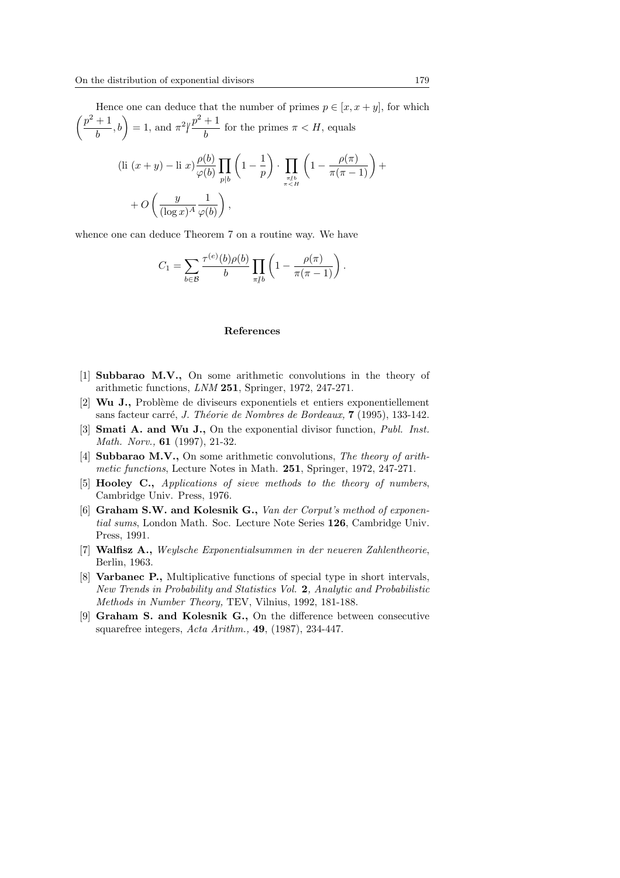Hence one can deduce that the number of primes  $p \in [x, x + y]$ , for which  $\frac{11}{10}$  $\left(\frac{+1}{b}, b\right) = 1$ , and  $\pi^2 \left(\frac{p^2 + 1}{b}\right)$  $\frac{1}{b}$  for the primes  $\pi < H$ , equals

$$
\begin{aligned} \text{(li } (x+y) - \text{li } x) \frac{\rho(b)}{\varphi(b)} \prod_{p|b} \left( 1 - \frac{1}{p} \right) \cdot \prod_{\substack{\pi \neq b \\ \pi < H}} \left( 1 - \frac{\rho(\pi)}{\pi(\pi - 1)} \right) + \\ &+ O\left( \frac{y}{(\log x)^A} \frac{1}{\varphi(b)} \right), \end{aligned}
$$

whence one can deduce Theorem 7 on a routine way. We have

$$
C_1 = \sum_{b \in \mathcal{B}} \frac{\tau^{(e)}(b)\rho(b)}{b} \prod_{\pi \nmid b} \left(1 - \frac{\rho(\pi)}{\pi(\pi - 1)}\right).
$$

#### References

- [1] Subbarao M.V., On some arithmetic convolutions in the theory of arithmetic functions, LNM 251, Springer, 1972, 247-271.
- $[2]$  Wu J., Problème de diviseurs exponentiels et entiers exponentiellement sans facteur carré, J. Théorie de Nombres de Bordeaux, 7 (1995), 133-142.
- [3] **Smati A. and Wu J.,** On the exponential divisor function, *Publ. Inst.* Math. Norv., 61 (1997), 21-32.
- [4] Subbarao M.V., On some arithmetic convolutions, The theory of arithmetic functions, Lecture Notes in Math. 251, Springer, 1972, 247-271.
- [5] Hooley C., Applications of sieve methods to the theory of numbers, Cambridge Univ. Press, 1976.
- [6] Graham S.W. and Kolesnik G., Van der Corput's method of exponential sums, London Math. Soc. Lecture Note Series 126, Cambridge Univ. Press, 1991.
- [7] Walfisz A., Weylsche Exponentialsummen in der neueren Zahlentheorie, Berlin, 1963.
- [8] Varbanec P., Multiplicative functions of special type in short intervals, New Trends in Probability and Statistics Vol. 2, Analytic and Probabilistic Methods in Number Theory, TEV, Vilnius, 1992, 181-188.
- [9] Graham S. and Kolesnik G., On the difference between consecutive squarefree integers, Acta Arithm., 49, (1987), 234-447.